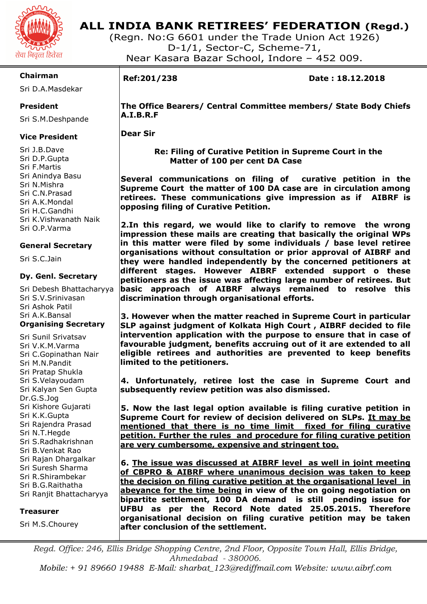

## **ALL INDIA BANK RETIREES' FEDERATION (Regd.)**

(Regn. No:G 6601 under the Trade Union Act 1926) D-1/1, Sector-C, Scheme-71, Near Kasara Bazar School, Indore – 452 009.

### **Chairman**

Sri D.A.Masdekar

### **President**

Sri S.M.Deshpande

### **Vice President**

Sri J.B.Dave Sri D.P.Gupta Sri F.Martis Sri Anindya Basu Sri N.Mishra Sri C.N.Prasad Sri A.K.Mondal Sri H.C.Gandhi Sri K.Vishwanath Naik Sri O.P.Varma

### **General Secretary**

Sri S.C.Jain

### **Dy. Genl. Secretary**

Sri Debesh Bhattacharyya Sri S.V.Srinivasan Sri Ashok Patil Sri A.K.Bansal **Organising Secretary** 

Sri Sunil Srivatsav Sri V.K.M.Varma Sri C.Gopinathan Nair Sri M.N.Pandit Sri Pratap Shukla Sri S.Velayoudam Sri Kalyan Sen Gupta Dr.G.S.Jog Sri Kishore Gujarati Sri K.K.Gupta Sri Rajendra Prasad Sri N.T.Hegde Sri S.Radhakrishnan Sri B.Venkat Rao Sri Rajan Dhargalkar Sri Suresh Sharma Sri R.Shirambekar Sri B.G.Raithatha Sri Ranjit Bhattacharyya

### **Treasurer**

Sri M.S.Chourey

I

**Ref:201/238 Date : 18.12.2018** 

**The Office Bearers/ Central Committee members/ State Body Chiefs A.I.B.R.F** 

**Dear Sir** 

 **Re: Filing of Curative Petition in Supreme Court in the Matter of 100 per cent DA Case** 

**Several communications on filing of curative petition in the Supreme Court the matter of 100 DA case are in circulation among retirees. These communications give impression as if AIBRF is opposing filing of Curative Petition.** 

**2.In this regard, we would like to clarify to remove the wrong impression these mails are creating that basically the original WPs in this matter were filed by some individuals / base level retiree organisations without consultation or prior approval of AIBRF and they were handled independently by the concerned petitioners at different stages. However AIBRF extended support o these petitioners as the issue was affecting large number of retirees. But basic approach of AIBRF always remained to resolve this discrimination through organisational efforts.** 

**3. However when the matter reached in Supreme Court in particular SLP against judgment of Kolkata High Court , AIBRF decided to file intervention application with the purpose to ensure that in case of favourable judgment, benefits accruing out of it are extended to all eligible retirees and authorities are prevented to keep benefits limited to the petitioners.** 

**4. Unfortunately, retiree lost the case in Supreme Court and subsequently review petition was also dismissed.** 

**5. Now the last legal option available is filing curative petition in Supreme Court for review of decision delivered on SLPs. It may be mentioned that there is no time limit fixed for filing curative petition. Further the rules and procedure for filing curative petition are very cumbersome, expensive and stringent too.** 

**6. The issue was discussed at AIBRF level as well in joint meeting of CBPRO & AIBRF where unanimous decision was taken to keep the decision on filing curative petition at the organisational level in abeyance for the time being in view of the on going negotiation on bipartite settlement, 100 DA demand is still pending issue for UFBU as per the Record Note dated 25.05.2015. Therefore organisational decision on filing curative petition may be taken after conclusion of the settlement.** 

*Regd. Office: 246, Ellis Bridge Shopping Centre, 2nd Floor, Opposite Town Hall, Ellis Bridge, Ahmedabad - 380006. Mobile: + 91 89660 19488 E-Mail: sharbat\_123@rediffmail.com Website: www.aibrf.com*